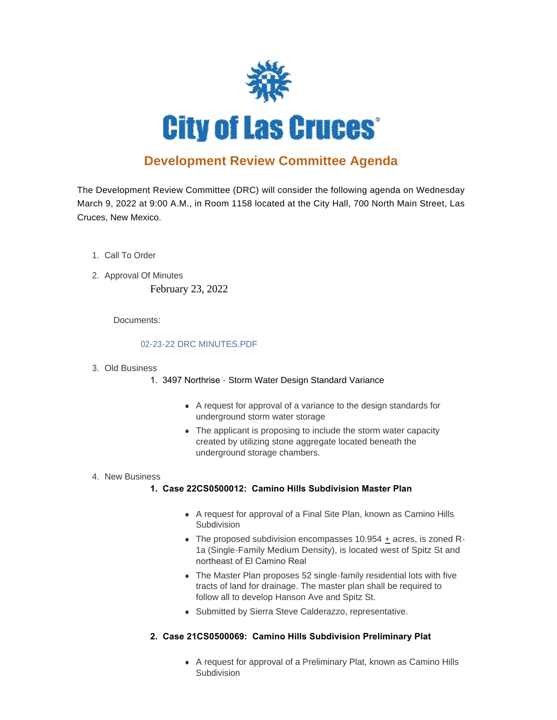

# **Development Review Committee Agenda**

The Development Review Committee (DRC) will consider the following agenda on Wednesday March 9, 2022 at 9:00 A.M., in Room 1158 located at the City Hall, 700 North Main Street, Las Cruces, New Mexico.

- 1. Call To Order
- 2. Approval Of Minutes

February 23, 2022

Documents:

## [02-23-22 DRC MINUTES.PDF](https://www.las-cruces.org/AgendaCenter/ViewFile/Item/8685?fileID=14492)

#### Old Business 3.

- 1. 3497 Northrise Storm Water Design Standard Variance
	- A request for approval of a variance to the design standards for underground storm water storage
	- The applicant is proposing to include the storm water capacity created by utilizing stone aggregate located beneath the underground storage chambers.

#### 4. New Business

## **1. Case 22CS0500012: Camino Hills Subdivision Master Plan**

- A request for approval of a Final Site Plan, known as Camino Hills Subdivision
- The proposed subdivision encompasses 10.954  $\pm$  acres, is zoned R-1a (Single-Family Medium Density), is located west of Spitz St and northeast of El Camino Real
- The Master Plan proposes 52 single-family residential lots with five tracts of land for drainage. The master plan shall be required to follow all to develop Hanson Ave and Spitz St.
- Submitted by Sierra Steve Calderazzo, representative.
- **2. Case 21CS0500069: Camino Hills Subdivision Preliminary Plat** 
	- A request for approval of a Preliminary Plat, known as Camino Hills Subdivision